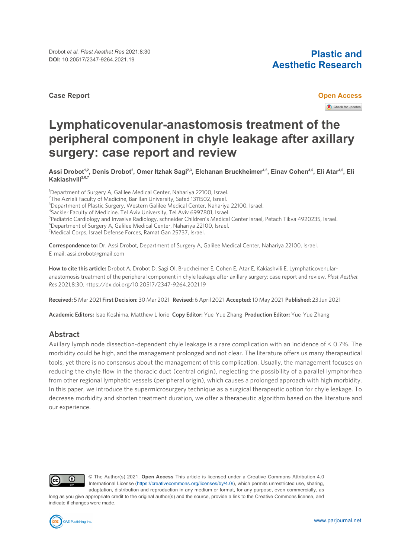#### **Case Report Open Access**

# **Aesthetic Research**

Check for updates

# **Lymphaticovenular-anastomosis treatment of the peripheral component in chyle leakage after axillary surgery: case report and review**

Assi Drobot<sup>1.2</sup>, Denis Drobot<sup>2</sup>, Omer Itzhak Sagi<sup>2.3</sup>, Elchanan Bruckheimer<sup>4,5</sup>, Einav Cohen<sup>4,5</sup>, Eli Atar<sup>4,5</sup>, Eli **Kakiashvili2,6,7**

<sup>1</sup>Department of Surgery A, Galilee Medical Center, Nahariya 22100, Israel. <sup>2</sup>The Azrieli Faculty of Medicine, Bar Ilan University, Safed 1311502, Israel. <sup>3</sup>Department of Plastic Surgery, Western Galilee Medical Center, Nahariya 22100, Israel. 4 Sackler Faculty of Medicine, Tel Aviv University, Tel Aviv 6997801, Israel. 5 Pediatric Cardiology and Invasive Radiology, schneider Children's Medical Center Israel, Petach Tikva 4920235, Israel. <sup>6</sup>Department of Surgery A, Galilee Medical Center, Nahariya 22100, Israel. <sup>7</sup>Medical Corps, Israel Defense Forces, Ramat Gan 25737, Israel.

**Correspondence to:** Dr. Assi Drobot, Department of Surgery A, Galilee Medical Center, Nahariya 22100, Israel. E-mail: assi.drobot@gmail.com

**How to cite this article:** Drobot A, Drobot D, Sagi OI, Bruckheimer E, Cohen E, Atar E, Kakiashvili E. Lymphaticovenularanastomosis treatment of the peripheral component in chyle leakage after axillary surgery: case report and review. *Plast Aesthet Res* 2021;8:30. <https://dx.doi.org/10.20517/2347-9264.2021.19>

**Received:** 5 Mar 2021 **First Decision:** 30 Mar 2021 **Revised:** 6 April 2021 **Accepted:**10 May 2021 **Published:** 23 Jun 2021

**Academic Editors:** Isao Koshima, Matthew L Iorio **Copy Editor:** Yue-Yue Zhang **Production Editor:** Yue-Yue Zhang

## **Abstract**

Axillary lymph node dissection-dependent chyle leakage is a rare complication with an incidence of < 0.7%. The morbidity could be high, and the management prolonged and not clear. The literature offers us many therapeutical tools, yet there is no consensus about the management of this complication. Usually, the management focuses on reducing the chyle flow in the thoracic duct (central origin), neglecting the possibility of a parallel lymphorrhea from other regional lymphatic vessels (peripheral origin), which causes a prolonged approach with high morbidity. In this paper, we introduce the supermicrosurgery technique as a surgical therapeutic option for chyle leakage. To decrease morbidity and shorten treatment duration, we offer a therapeutic algorithm based on the literature and our experience.



© The Author(s) 2021. **Open Access** This article is licensed under a Creative Commons Attribution 4.0 International License [\(https://creativecommons.org/licenses/by/4.0/\)](https://creativecommons.org/licenses/by/4.0/), which permits unrestricted use, sharing, adaptation, distribution and reproduction in any medium or format, for any purpose, even commercially, as

long as you give appropriate credit to the original author(s) and the source, provide a link to the Creative Commons license, and indicate if changes were made.

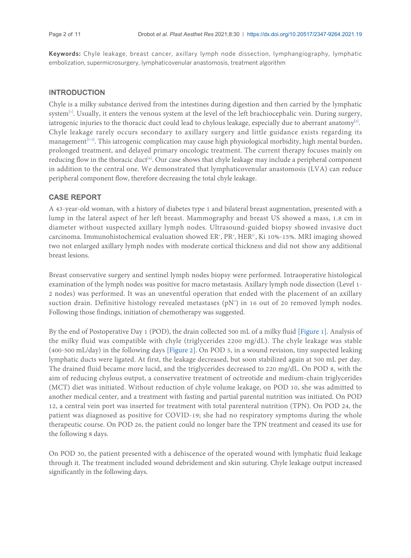**Keywords:** Chyle leakage, breast cancer, axillary lymph node dissection, lymphangiography, lymphatic embolization, supermicrosurgery, lymphaticovenular anastomosis, treatment algorithm

# INTRODUCTION

Chyle is a milky substance derived from the intestines during digestion and then carried by the lymphatic system<sup>[\[1](#page-9-0)]</sup>. Usually, it enters the venous system at the level of the left brachiocephalic vein. During surgery, iatrogenic injuries to the thoracic duct could lead to chylous leakage, especially due to aberrant anatomy $[2]$  $[2]$  $[2]$ . . Chyle leakage rarely occurs secondary to axillary surgery and little guidance exists regarding its management<sup>[\[3](#page-9-2)[-5\]](#page-9-3)</sup>. This iatrogenic complication may cause high physiological morbidity, high mental burden, prolonged treatment, and delayed primary oncologic treatment. The current therapy focuses mainly on reducing flow in the thoracic duct<sup>[\[6\]](#page-9-4)</sup>. Our case shows that chyle leakage may include a peripheral component in addition to the central one. We demonstrated that lymphaticovenular anastomosis (LVA) can reduce peripheral component flow, therefore decreasing the total chyle leakage.

# CASE REPORT

A 43-year-old woman, with a history of diabetes type 1 and bilateral breast augmentation, presented with a lump in the lateral aspect of her left breast. Mammography and breast US showed a mass, 1.8 cm in diameter without suspected axillary lymph nodes. Ultrasound-guided biopsy showed invasive duct carcinoma. Immunohistochemical evaluation showed ER<sup>+</sup>, PR<sup>+</sup>, HER<sup>2-</sup>, Ki 10%-15%. MRI imaging showed two not enlarged axillary lymph nodes with moderate cortical thickness and did not show any additional breast lesions.

Breast conservative surgery and sentinel lymph nodes biopsy were performed. Intraoperative histological examination of the lymph nodes was positive for macro metastasis. Axillary lymph node dissection (Level 1- 2 nodes) was performed. It was an uneventful operation that ended with the placement of an axillary suction drain. Definitive histology revealed metastases (pN<sup>+</sup>) in 16 out of 20 removed lymph nodes. Following those findings, initiation of chemotherapy was suggested.

By the end of Postoperative Day 1 (POD), the drain collected 500 mL of a milky fluid [[Figure 1](#page-2-0)]. Analysis of the milky fluid was compatible with chyle (triglycerides 2200 mg/dL). The chyle leakage was stable (400-500 mL/day) in the following days [\[Figure 2\]](#page-2-1). On POD 5, in a wound revision, tiny suspected leaking lymphatic ducts were ligated. At first, the leakage decreased, but soon stabilized again at 500 mL per day. The drained fluid became more lucid, and the triglycerides decreased to 220 mg/dL. On POD 8, with the aim of reducing chylous output, a conservative treatment of octreotide and medium-chain triglycerides (MCT) diet was initiated. Without reduction of chyle volume leakage, on POD 10, she was admitted to another medical center, and a treatment with fasting and partial parental nutrition was initiated. On POD 12, a central vein port was inserted for treatment with total parenteral nutrition (TPN). On POD 24, the patient was diagnosed as positive for COVID-19; she had no respiratory symptoms during the whole therapeutic course. On POD 26, the patient could no longer bare the TPN treatment and ceased its use for the following 8 days.

On POD 30, the patient presented with a dehiscence of the operated wound with lymphatic fluid leakage through it. The treatment included wound debridement and skin suturing. Chyle leakage output increased significantly in the following days.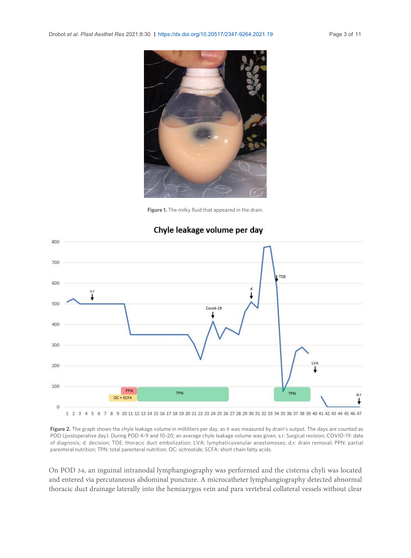<span id="page-2-0"></span>

**Figure 1.** The milky fluid that appeared in the drain.

<span id="page-2-1"></span>

# Chyle leakage volume per day

**Figure 2.** The graph shows the chyle leakage volume in milliliters per day, as it was measured by drain's output. The days are counted as POD (postoperative day). During POD 4-9 and 10-20, an average chyle leakage volume was given. s.r: Surgical revision; COVID-19: date of diagnosis; d: decision; TDE: thoracic duct embolization; LVA: lymphaticovenular anastomoses; d.r: drain removal; PPN: partial parenteral nutrition; TPN: total parenteral nutrition; OC: octreotide; SCFA: short chain fatty acids.

On POD 34, an inguinal intranodal lymphangiography was performed and the cisterna chyli was located and entered via percutaneous abdominal puncture. A microcatheter lymphangiography detected abnormal thoracic duct drainage laterally into the hemiazygos vein and para vertebral collateral vessels without clear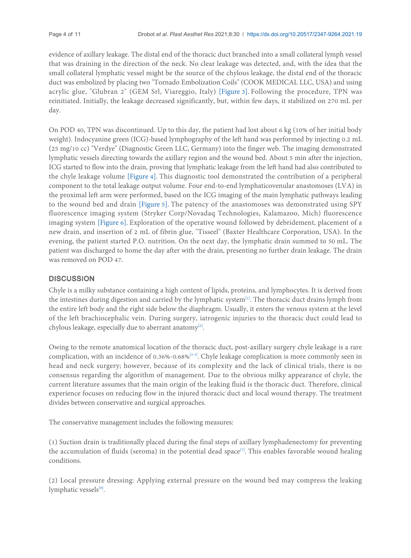evidence of axillary leakage. The distal end of the thoracic duct branched into a small collateral lymph vessel that was draining in the direction of the neck. No clear leakage was detected, and, with the idea that the small collateral lymphatic vessel might be the source of the chylous leakage, the distal end of the thoracic duct was embolized by placing two "Tornado Embolization Coils" (COOK MEDICAL LLC, USA) and using acrylic glue, "Glubran 2" (GEM Srl, Viareggio, Italy) [[Figure 3\]](#page-4-0). Following the procedure, TPN was reinitiated. Initially, the leakage decreased significantly, but, within few days, it stabilized on 270 mL per day.

On POD 40, TPN was discontinued. Up to this day, the patient had lost about 6 kg (10% of her initial body weight). Indocyanine green (ICG)-based lymphography of the left hand was performed by injecting 0.2 mL (25 mg/10 cc) "Verdye" (Diagnostic Green LLC, Germany) into the finger web. The imaging demonstrated lymphatic vessels directing towards the axillary region and the wound bed. About 5 min after the injection, ICG started to flow into the drain, proving that lymphatic leakage from the left hand had also contributed to the chyle leakage volume [[Figure 4](#page-5-0)]. This diagnostic tool demonstrated the contribution of a peripheral component to the total leakage output volume. Four end-to-end lymphaticovenular anastomoses (LVA) in the proximal left arm were performed, based on the ICG imaging of the main lymphatic pathways leading to the wound bed and drain [[Figure 5\]](#page-6-0). The patency of the anastomoses was demonstrated using SPY fluorescence imaging system (Stryker Corp/Novadaq Technologies, Kalamazoo, Mich) fluorescence imaging system [[Figure 6](#page-6-1)]. Exploration of the operative wound followed by debridement, placement of a new drain, and insertion of 2 mL of fibrin glue, "Tisseel" (Baxter Healthcare Corporation, USA). In the evening, the patient started P.O. nutrition. On the next day, the lymphatic drain summed to 50 mL. The patient was discharged to home the day after with the drain, presenting no further drain leakage. The drain was removed on POD 47.

### **DISCUSSION**

Chyle is a milky substance containing a high content of lipids, proteins, and lymphocytes. It is derived from the intestines during digestion and carried by the lymphatic system<sup>[\[1\]](#page-9-0)</sup>. The thoracic duct drains lymph from the entire left body and the right side below the diaphragm. Usually, it enters the venous system at the level of the left brachiocephalic vein. During surgery, iatrogenic injuries to the thoracic duct could lead to chylous leakage, especially due to aberrant anatomy<sup>[[2\]](#page-9-1)</sup>. .

Owing to the remote anatomical location of the thoracic duct, post-axillary surgery chyle leakage is a rare complication, with an incidence of 0.[3](#page-9-2)6%-0.68%<sup>[3[-5](#page-9-3)]</sup>. Chyle leakage complication is more commonly seen in head and neck surgery; however, because of its complexity and the lack of clinical trials, there is no consensus regarding the algorithm of management. Due to the obvious milky appearance of chyle, the current literature assumes that the main origin of the leaking fluid is the thoracic duct. Therefore, clinical experience focuses on reducing flow in the injured thoracic duct and local wound therapy. The treatment divides between conservative and surgical approaches.

The conservative management includes the following measures:

(1) Suction drain is traditionally placed during the final steps of axillary lymphadenectomy for preventing the accumulation of fluids (seroma) in the potential dead space<sup>[[7](#page-9-5)]</sup>. This enables favorable wound healing conditions.

(2) Local pressure dressing: Applying external pressure on the wound bed may compress the leaking lymphatic vessels[\[8\]](#page-9-6). .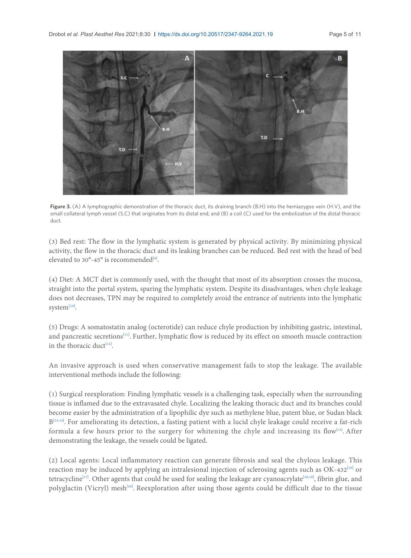<span id="page-4-0"></span>

**Figure 3.** (A) A lymphographic demonstration of the thoracic duct, its draining branch (B.H) into the hemiazygos vein (H.V), and the small collateral lymph vessel (S.C) that originates from its distal end; and (B) a coil (C) used for the embolization of the distal thoracic duct.

(3) Bed rest: The flow in the lymphatic system is generated by physical activity. By minimizing physical activity, the flow in the thoracic duct and its leaking branches can be reduced. Bed rest with the head of bed elevated to  $30^{\circ}$ -45° is recommended<sup>[\[9\]](#page-9-7)</sup>. .

(4) Diet: A MCT diet is commonly used, with the thought that most of its absorption crosses the mucosa, straight into the portal system, sparing the lymphatic system. Despite its disadvantages, when chyle leakage does not decreases, TPN may be required to completely avoid the entrance of nutrients into the lymphatic system[\[10\]](#page-9-8). .

(5) Drugs: A somatostatin analog (octerotide) can reduce chyle production by inhibiting gastric, intestinal, and pancreatic secretions<sup>[\[11](#page-9-9)]</sup>. Further, lymphatic flow is reduced by its effect on smooth muscle contraction in the thoracic duct<sup>[[12](#page-9-10)]</sup>. .

An invasive approach is used when conservative management fails to stop the leakage. The available interventional methods include the following:

(1) Surgical reexploration: Finding lymphatic vessels is a challenging task, especially when the surrounding tissue is inflamed due to the extravasated chyle. Localizing the leaking thoracic duct and its branches could become easier by the administration of a lipophilic dye such as methylene blue, patent blue, or Sudan black B<sup>[[13](#page-9-11),[14\]](#page-9-12)</sup>. For ameliorating its detection, a fasting patient with a lucid chyle leakage could receive a fat-rich formula a few hours prior to the surgery for whitening the chyle and increasing its flow<sup>[[15](#page-9-13)]</sup>. After demonstrating the leakage, the vessels could be ligated.

(2) Local agents: Local inflammatory reaction can generate fibrosis and seal the chylous leakage. This reaction may be induced by applying an intralesional injection of sclerosing agents such as OK-432[\[16\]](#page-9-14) or tetracycline<sup>[\[17\]](#page-9-15)</sup>. Other agents that could be used for sealing the leakage are cyanoacrylate<sup>[[18](#page-9-16)[,19\]](#page-9-17)</sup>, fibrin glue, and polyglactin (Vicryl) mesh<sup>[\[20\]](#page-10-0)</sup>. Reexploration after using those agents could be difficult due to the tissue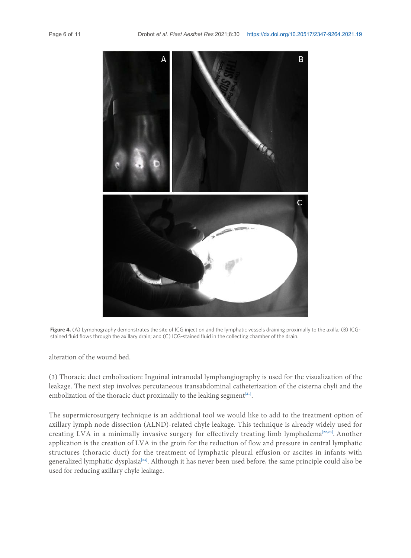<span id="page-5-0"></span>

**Figure 4.** (A) Lymphography demonstrates the site of ICG injection and the lymphatic vessels draining proximally to the axilla; (B) ICGstained fluid flows through the axillary drain; and (C) ICG-stained fluid in the collecting chamber of the drain.

alteration of the wound bed.

(3) Thoracic duct embolization: Inguinal intranodal lymphangiography is used for the visualization of the leakage. The next step involves percutaneous transabdominal catheterization of the cisterna chyli and the embolization of the thoracic duct proximally to the leaking segment $[21]$  $[21]$  $[21]$ . .

The supermicrosurgery technique is an additional tool we would like to add to the treatment option of axillary lymph node dissection (ALND)-related chyle leakage. This technique is already widely used for creating LVA in a minimally invasive surgery for effectively treating limb lymphedema<sup>[\[22,](#page-10-2)[23](#page-10-3)]</sup>. Another application is the creation of LVA in the groin for the reduction of flow and pressure in central lymphatic structures (thoracic duct) for the treatment of lymphatic pleural effusion or ascites in infants with generalized lymphatic dysplasia<sup>[\[24\]](#page-10-4)</sup>. Although it has never been used before, the same principle could also be used for reducing axillary chyle leakage.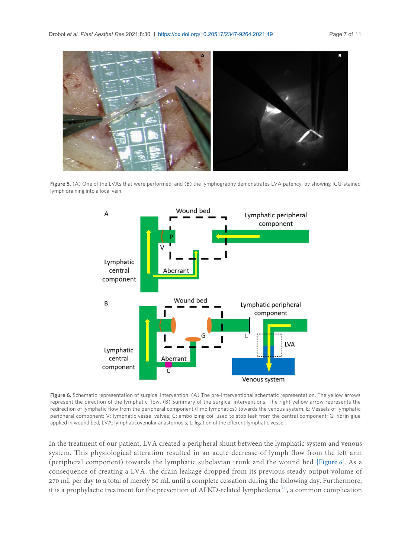<span id="page-6-0"></span>

**Figure 5.** (A) One of the LVAs that were performed; and (B) the lymphography demonstrates LVA patency, by showing ICG-stained lymph draining into a local vein.

<span id="page-6-1"></span>

**Figure 6.** Schematic representation of surgical intervention. (A) The pre-interventional schematic representation. The yellow arrows represent the direction of the lymphatic flow. (B) Summary of the surgical interventions. The right yellow arrow represents the redirection of lymphatic flow from the peripheral component (limb lymphatics) towards the venous system. E: Vessels of lymphatic peripheral component; V: lymphatic vessel valves; C: embolizing coil used to stop leak from the central component; G: fibrin glue applied in wound bed; LVA: lymphaticovenular anastomosis; L: ligation of the efferent lymphatic vessel.

In the treatment of our patient, LVA created a peripheral shunt between the lymphatic system and venous system. This physiological alteration resulted in an acute decrease of lymph flow from the left arm (peripheral component) towards the lymphatic subclavian trunk and the wound bed [[Figure 6\]](#page-6-1). As a consequence of creating a LVA, the drain leakage dropped from its previous steady output volume of 270 mL per day to a total of merely 50 mL until a complete cessation during the following day. Furthermore, it is a prophylactic treatment for the prevention of ALND-related lymphedema<sup>[[25](#page-10-5)]</sup>, a common complication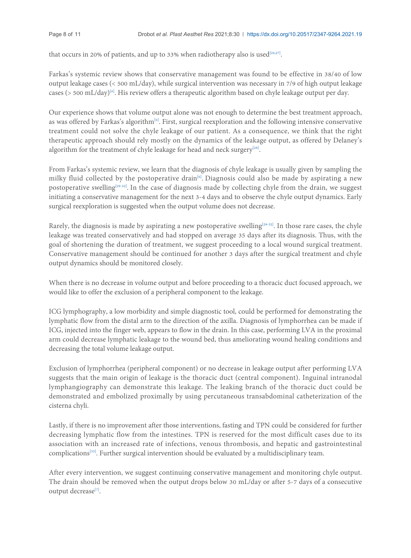that occurs in 20% of patients, and up to 33% when radiotherapy also is used<sup>[\[26,](#page-10-6)[27](#page-10-7)]</sup>. .

Farkas's systemic review shows that conservative management was found to be effective in 38/40 of low output leakage cases (< 500 mL/day), while surgical intervention was necessary in 7/9 of high output leakage cases (> 500 mL/day)<sup>[\[6\]](#page-9-4)</sup>. His review offers a therapeutic algorithm based on chyle leakage output per day.

Our experience shows that volume output alone was not enough to determine the best treatment approach, as was offered by Farkas's algorithm<sup>[\[6](#page-9-4)]</sup>. First, surgical reexploration and the following intensive conservative treatment could not solve the chyle leakage of our patient. As a consequence, we think that the right therapeutic approach should rely mostly on the dynamics of the leakage output, as offered by Delaney's algorithm for the treatment of chyle leakage for head and neck surgery<sup>[[28](#page-10-8)]</sup>. .

From Farkas's systemic review, we learn that the diagnosis of chyle leakage is usually given by sampling the milky fluid collected by the postoperative drain<sup>[\[6](#page-9-4)]</sup>. Diagnosis could also be made by aspirating a new postoperative swelling<sup>[[29](#page-10-9)[-32\]](#page-10-10)</sup>. In the case of diagnosis made by collecting chyle from the drain, we suggest initiating a conservative management for the next 3-4 days and to observe the chyle output dynamics. Early surgical reexploration is suggested when the output volume does not decrease.

Rarely, the diagnosis is made by aspirating a new postoperative swelling<sup>[\[29-](#page-10-9)[32](#page-10-10)]</sup>. In those rare cases, the chyle leakage was treated conservatively and had stopped on average 35 days after its diagnosis. Thus, with the goal of shortening the duration of treatment, we suggest proceeding to a local wound surgical treatment. Conservative management should be continued for another 3 days after the surgical treatment and chyle output dynamics should be monitored closely.

When there is no decrease in volume output and before proceeding to a thoracic duct focused approach, we would like to offer the exclusion of a peripheral component to the leakage.

ICG lymphography, a low morbidity and simple diagnostic tool, could be performed for demonstrating the lymphatic flow from the distal arm to the direction of the axilla. Diagnosis of lymphorrhea can be made if ICG, injected into the finger web, appears to flow in the drain. In this case, performing LVA in the proximal arm could decrease lymphatic leakage to the wound bed, thus ameliorating wound healing conditions and decreasing the total volume leakage output.

Exclusion of lymphorrhea (peripheral component) or no decrease in leakage output after performing LVA suggests that the main origin of leakage is the thoracic duct (central component). Inguinal intranodal lymphangiography can demonstrate this leakage. The leaking branch of the thoracic duct could be demonstrated and embolized proximally by using percutaneous transabdominal catheterization of the cisterna chyli.

Lastly, if there is no improvement after those interventions, fasting and TPN could be considered for further decreasing lymphatic flow from the intestines. TPN is reserved for the most difficult cases due to its association with an increased rate of infections, venous thrombosis, and hepatic and gastrointestinal complications<sup>[[33](#page-10-11)]</sup>. Further surgical intervention should be evaluated by a multidisciplinary team.

After every intervention, we suggest continuing conservative management and monitoring chyle output. The drain should be removed when the output drops below 30 mL/day or after 5-7 days of a consecutive output decrease<sup>[[7\]](#page-9-5)</sup>. .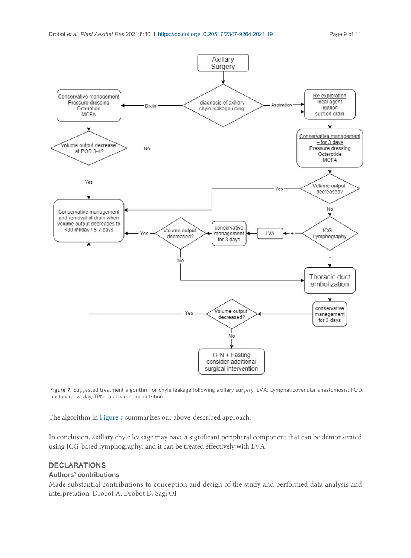<span id="page-8-0"></span>

**Figure 7.** Suggested treatment algorithm for chyle leakage following axillary surgery. LVA: Lymphaticovenular anastomosis; POD: postoperative day; TPN: total parenteral nutrition.

The algorithm in [Figure 7](#page-8-0) summarizes our above-described approach.

In conclusion, axillary chyle leakage may have a significant peripheral component that can be demonstrated using ICG-based lymphography, and it can be treated effectively with LVA.

#### DECLARATIONS

#### **Authors' contributions**

Made substantial contributions to conception and design of the study and performed data analysis and interpretation: Drobot A, Drobot D, Sagi OI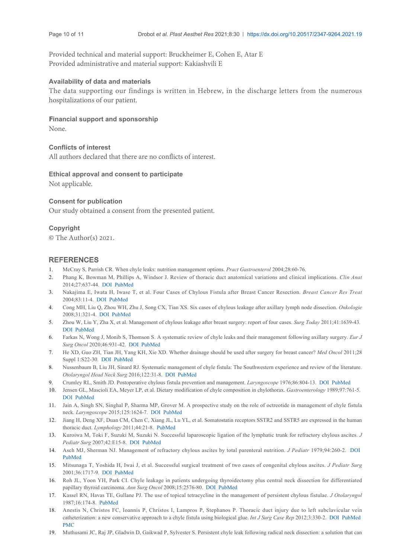Provided technical and material support: Bruckheimer E, Cohen E, Atar E Provided administrative and material support: Kakiashvili E

#### **Availability of data and materials**

The data supporting our findings is written in Hebrew, in the discharge letters from the numerous hospitalizations of our patient.

#### **Financial support and sponsorship**

None.

#### **Conflicts of interest**

All authors declared that there are no conflicts of interest.

#### **Ethical approval and consent to participate**

Not applicable.

#### **Consent for publication**

Our study obtained a consent from the presented patient.

#### **Copyright**

<span id="page-9-1"></span><span id="page-9-0"></span>© The Author(s) 2021.

#### <span id="page-9-2"></span>**REFERENCES**

- 1. McCray S, Par[rish C](https://dx.doi.org/10.1023/B:BREA.0000010675.87358.b6)[R. When](http://www.ncbi.nlm.nih.gov/pubmed/14997050) chyle leaks: nutrition management options. *Pract Gastroenterol* 2004;28:60-76.
- Phang K, Bowman M, Phillips A, Windsor J. Review of thoracic duct anatomical variations and clinical implications. *Clin Anat* 2014;27:637-44. [DO](https://dx.doi.org/10.1159/000131218)I [PubMe](http://www.ncbi.nlm.nih.gov/pubmed/18547973)d 2.
- <span id="page-9-3"></span>Nakajima E, Iwata H, Iwase T, et al. Four Cases of Chylous Fistula after Breast Cancer Resection. *Breast Cancer Res Treat* [2004](https://dx.doi.org/10.1007/s00595-010-4485-8)[;83:11-4.](http://www.ncbi.nlm.nih.gov/pubmed/21969198) DOI PubMed 3.
- <span id="page-9-4"></span>Cong MH, Liu Q, Zhou WH, [Zhu](https://dx.doi.org/10.1016/j.ejso.2020.01.029) J, [Song](http://www.ncbi.nlm.nih.gov/pubmed/32033823) CX, Tian XS. Six cases of chylous leakage after axillary lymph node dissection. *Onkologie* 4. 2008;31:321-4. DOI PubMed
- <span id="page-9-5"></span>Zhou W, Liu Y, [Zha](https://dx.doi.org/10.1007/s12032-010-9673-2) X, et [al.](http://www.ncbi.nlm.nih.gov/pubmed/20827578) Management of chylous leakage after breast surgery: report of four cases. *Surg Today* 2011;41:1639-43. DOI PubMed 5.
- <span id="page-9-6"></span>Farkas N, Wong J, Monib S, Thomson S. A s[ystem](https://dx.doi.org/10.1016/S0194-5998(00)70140-9)atic [revie](http://www.ncbi.nlm.nih.gov/pubmed/10629479)w of chyle leaks and their management following axillary surgery. *Eur J Surg Oncol* 2020;46:931-42. DOI PubMed 6.
- <span id="page-9-8"></span><span id="page-9-7"></span>He XD, Guo ZH, Tian JH, Yang KH, Xie XD. Whether drainage should be used after surgery for breast cancer? *[Med](https://dx.doi.org/10.1288/00005537-197606000-00008) [Oncol](http://www.ncbi.nlm.nih.gov/pubmed/933672)* 2011;28 7. Suppl 1:S22-30. DOI PubMed
- <span id="page-9-9"></span>[Nuss](https://dx.doi.org/10.1016/0016-5085(89)90650-1)[enbaum](http://www.ncbi.nlm.nih.gov/pubmed/2502466) B, Liu JH, Sinard RJ. Systematic management of chyle fistula: The Southwestern experience and review of the literature. *Otolaryngol Head Neck Surg* 2016;122:31-8. DOI PubMed 8.
- <span id="page-9-10"></span>9. Crumley RL, Smith JD. Postoperative [chylo](https://dx.doi.org/10.1002/lary.25171)[us fistula p](http://www.ncbi.nlm.nih.gov/pubmed/25639346)revention and management. *Laryngoscope* 1976;86:804-13. DOI PubMed
- 10. Jensen GL, Mascioli EA, Meyer LP, et al. [Dietary](http://www.ncbi.nlm.nih.gov/pubmed/21667819) modification of chyle composition in chylothorax. *Gastroenterology* 1989;97:761-5. DOI PubMed
- <span id="page-9-11"></span>11. Jain A, Singh SN, Singhal P, Sharma [MP,](http://www.ncbi.nlm.nih.gov/pubmed/17502170) Grover M. A prospective study on the role of octreotide in management of chyle fistula neck. *Laryngoscope* 2015;125[:1624](https://dx.doi.org/10.1016/j.jpedsurg.2007.02.036)-7. DOI PubMed
- <span id="page-9-12"></span>12. Jiang H, Deng XF, Duan CM, Chen C, Xiang JL, Lu YL, et al. Somatostatin receptors SSTR2 and SSTR5 are expressed in the h[uman](https://dx.doi.org/10.1016/s0022-3476(79)80840-9) [thoracic](http://www.ncbi.nlm.nih.gov/pubmed/105112) duct. *Lymphology* 2011;44:21-8. PubMed
- <span id="page-9-13"></span>13. Kuroiwa M, Toki F, Suzuki M, Suzuki N. Successful laparoscopic ligation of the lymphatic trunk for refractory chylous ascites. *J Pediatr Surg* 200[7;42:](https://dx.doi.org/10.1053/jpsu.2001.27973)[E15-8.](http://www.ncbi.nlm.nih.gov/pubmed/11685710) DOI PubMed
- <span id="page-9-14"></span>Asch MJ, Sherman NJ. Management of refractory chylous a[scites](https://dx.doi.org/10.1245/s10434-008-0017-9) by [total](http://www.ncbi.nlm.nih.gov/pubmed/18592317) parenteral nutrition. *J Pediatr* 1979;94:260-2. DOI 14. PubMed
- <span id="page-9-15"></span>Mitsunaga T, [Yoshida](http://www.ncbi.nlm.nih.gov/pubmed/3599173) H, Iwai J, et al. Successful surgical treatment of two cases of congenital chylous ascites. *J Pediatr Surg* 15. 2001;36:1717-9. DOI PubMed
- <span id="page-9-16"></span>16. Roh JL, Yoon YH, Park CI. Chyle leakage in patients undergoing thyroidectomy plus central neck dissection for [diff](https://dx.doi.org/10.1016/j.ijscr.2012.03.021)e[rentiated](http://www.ncbi.nlm.nih.gov/pubmed/22561237) papillary thyroid carcinoma. *Ann Surg Oncol* 2008;15:2576-80. DOI PubMed
- <span id="page-9-17"></span>17. [Kasse](https://www.ncbi.nlm.nih.gov/pmc/articles/PMC3356535)l RN, Havas TE, Gullane PJ. The use of topical tetracycline in the management of persistent chylous fistulae. *J Otolaryngol* 1987;16:174-8. PubMed
- Anestis N, Christos FC, Ioannis P, Christos I, Lampros P, Stephanos P. Thoracic duct injury due to left subclavicular vein 18. catheterization: a new conservative approach to a chyle fistula using biological glue. *Int J Surg Case Rep* 2012;3:330-2. DOI PubMed PMC
- 19. Muthusami JC, Raj JP, Gladwin D, Gaikwad P, Sylvester S. Persistent chyle leak following radical neck dissection: a solution that can